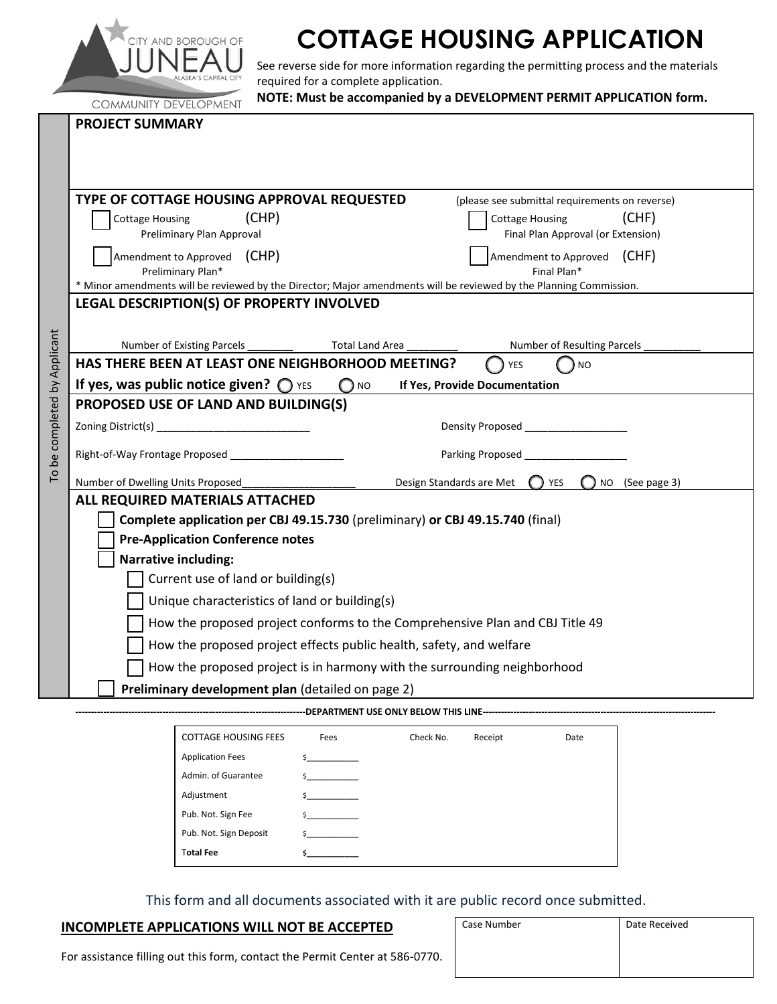

# **COTTAGE HOUSING APPLICATION**

See reverse side for more information regarding the permitting process and the materials required for a complete application.

|                           | NOTE: Must be accompanied by a DEVELOPMENT PERMIT APPLICATION form.<br><b>COMMUNITY DEVELOPMENT</b>                                                    |  |  |  |  |
|---------------------------|--------------------------------------------------------------------------------------------------------------------------------------------------------|--|--|--|--|
|                           | <b>PROJECT SUMMARY</b>                                                                                                                                 |  |  |  |  |
|                           |                                                                                                                                                        |  |  |  |  |
|                           |                                                                                                                                                        |  |  |  |  |
|                           | TYPE OF COTTAGE HOUSING APPROVAL REQUESTED<br>(please see submittal requirements on reverse)                                                           |  |  |  |  |
|                           | (CHP)<br>(CHF)<br><b>Cottage Housing</b><br><b>Cottage Housing</b>                                                                                     |  |  |  |  |
|                           | Preliminary Plan Approval<br>Final Plan Approval (or Extension)                                                                                        |  |  |  |  |
|                           | Amendment to Approved (CHF)<br>Amendment to Approved (CHP)                                                                                             |  |  |  |  |
|                           | Preliminary Plan*<br>Final Plan*<br>* Minor amendments will be reviewed by the Director; Major amendments will be reviewed by the Planning Commission. |  |  |  |  |
|                           | LEGAL DESCRIPTION(S) OF PROPERTY INVOLVED                                                                                                              |  |  |  |  |
|                           |                                                                                                                                                        |  |  |  |  |
|                           | <b>Total Land Area</b><br>Number of Resulting Parcels<br>Number of Existing Parcels ________                                                           |  |  |  |  |
|                           | HAS THERE BEEN AT LEAST ONE NEIGHBORHOOD MEETING?<br><b>NO</b><br><b>YES</b>                                                                           |  |  |  |  |
|                           | If yes, was public notice given? $\bigcirc$ YES<br>$\bigcap$ NO<br>If Yes, Provide Documentation                                                       |  |  |  |  |
|                           | PROPOSED USE OF LAND AND BUILDING(S)                                                                                                                   |  |  |  |  |
|                           | Density Proposed Density Proposed                                                                                                                      |  |  |  |  |
| be completed by Applicant | Parking Proposed                                                                                                                                       |  |  |  |  |
| Γo                        | Number of Dwelling Units Proposed<br>NO (See page 3)<br>Design Standards are Met (C) YES                                                               |  |  |  |  |
|                           | ALL REQUIRED MATERIALS ATTACHED                                                                                                                        |  |  |  |  |
|                           | Complete application per CBJ 49.15.730 (preliminary) or CBJ 49.15.740 (final)                                                                          |  |  |  |  |
|                           | <b>Pre-Application Conference notes</b>                                                                                                                |  |  |  |  |
|                           | <b>Narrative including:</b>                                                                                                                            |  |  |  |  |
|                           | Current use of land or building(s)                                                                                                                     |  |  |  |  |
|                           | Unique characteristics of land or building(s)                                                                                                          |  |  |  |  |
|                           | How the proposed project conforms to the Comprehensive Plan and CBJ Title 49                                                                           |  |  |  |  |
|                           | How the proposed project effects public health, safety, and welfare                                                                                    |  |  |  |  |
|                           | How the proposed project is in harmony with the surrounding neighborhood                                                                               |  |  |  |  |
|                           | Preliminary development plan (detailed on page 2)                                                                                                      |  |  |  |  |
|                           |                                                                                                                                                        |  |  |  |  |

| <b>COTTAGE HOUSING FEES</b> | Fees     | Check No. | Receipt | Date |
|-----------------------------|----------|-----------|---------|------|
| <b>Application Fees</b>     | $\sim$ 5 |           |         |      |
| Admin. of Guarantee         | Ś.       |           |         |      |
| Adjustment                  | Ś.       |           |         |      |
| Pub. Not. Sign Fee          | Ś.       |           |         |      |
| Pub. Not. Sign Deposit      | Ś.       |           |         |      |
| <b>Total Fee</b>            |          |           |         |      |

This form and all documents associated with it are public record once submitted.

# **INCOMPLETE APPLICATIONS WILL NOT BE ACCEPTED**

| Case Number | Date Received |  |  |
|-------------|---------------|--|--|
|             |               |  |  |
|             |               |  |  |

For assistance filling out this form, contact the Permit Center at 586-0770.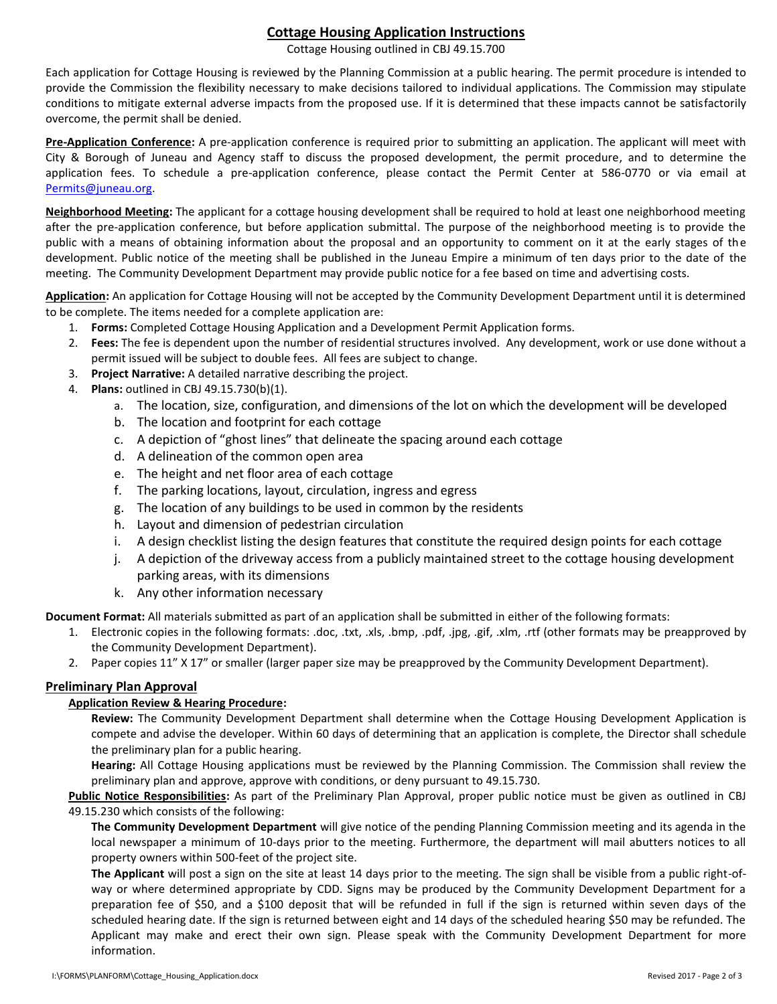# **Cottage Housing Application Instructions**

Cottage Housing outlined in CBJ 49.15.700

Each application for Cottage Housing is reviewed by the Planning Commission at a public hearing. The permit procedure is intended to provide the Commission the flexibility necessary to make decisions tailored to individual applications. The Commission may stipulate conditions to mitigate external adverse impacts from the proposed use. If it is determined that these impacts cannot be satisfactorily overcome, the permit shall be denied.

**Pre-Application Conference:** A pre-application conference is required prior to submitting an application. The applicant will meet with City & Borough of Juneau and Agency staff to discuss the proposed development, the permit procedure, and to determine the application fees. To schedule a pre-application conference, please contact the Permit Center at 586-0770 or via email at [Permits@juneau.org.](mailto:Permits@juneau.org)

**Neighborhood Meeting:** The applicant for a cottage housing development shall be required to hold at least one neighborhood meeting after the pre-application conference, but before application submittal. The purpose of the neighborhood meeting is to provide the public with a means of obtaining information about the proposal and an opportunity to comment on it at the early stages of the development. Public notice of the meeting shall be published in the Juneau Empire a minimum of ten days prior to the date of the meeting. The Community Development Department may provide public notice for a fee based on time and advertising costs.

**Application:** An application for Cottage Housing will not be accepted by the Community Development Department until it is determined to be complete. The items needed for a complete application are:

- 1. **Forms:** Completed Cottage Housing Application and a Development Permit Application forms.
- 2. **Fees:** The fee is dependent upon the number of residential structures involved. Any development, work or use done without a permit issued will be subject to double fees. All fees are subject to change.
- 3. **Project Narrative:** A detailed narrative describing the project.
- 4. **Plans:** outlined in CBJ 49.15.730(b)(1).
	- a. The location, size, configuration, and dimensions of the lot on which the development will be developed
	- b. The location and footprint for each cottage
	- c. A depiction of "ghost lines" that delineate the spacing around each cottage
	- d. A delineation of the common open area
	- e. The height and net floor area of each cottage
	- f. The parking locations, layout, circulation, ingress and egress
	- g. The location of any buildings to be used in common by the residents
	- h. Layout and dimension of pedestrian circulation
	- i. A design checklist listing the design features that constitute the required design points for each cottage
	- j. A depiction of the driveway access from a publicly maintained street to the cottage housing development parking areas, with its dimensions
	- k. Any other information necessary

**Document Format:** All materials submitted as part of an application shall be submitted in either of the following formats:

- 1. Electronic copies in the following formats: .doc, .txt, .xls, .bmp, .pdf, .jpg, .gif, .xlm, .rtf (other formats may be preapproved by the Community Development Department).
- 2. Paper copies 11" X 17" or smaller (larger paper size may be preapproved by the Community Development Department).

# **Preliminary Plan Approval**

#### **Application Review & Hearing Procedure:**

**Review:** The Community Development Department shall determine when the Cottage Housing Development Application is compete and advise the developer. Within 60 days of determining that an application is complete, the Director shall schedule the preliminary plan for a public hearing.

**Hearing:** All Cottage Housing applications must be reviewed by the Planning Commission. The Commission shall review the preliminary plan and approve, approve with conditions, or deny pursuant to 49.15.730.

**Public Notice Responsibilities:** As part of the Preliminary Plan Approval, proper public notice must be given as outlined in CBJ 49.15.230 which consists of the following:

**The Community Development Department** will give notice of the pending Planning Commission meeting and its agenda in the local newspaper a minimum of 10-days prior to the meeting. Furthermore, the department will mail abutters notices to all property owners within 500-feet of the project site.

**The Applicant** will post a sign on the site at least 14 days prior to the meeting. The sign shall be visible from a public right-ofway or where determined appropriate by CDD. Signs may be produced by the Community Development Department for a preparation fee of \$50, and a \$100 deposit that will be refunded in full if the sign is returned within seven days of the scheduled hearing date. If the sign is returned between eight and 14 days of the scheduled hearing \$50 may be refunded. The Applicant may make and erect their own sign. Please speak with the Community Development Department for more information.